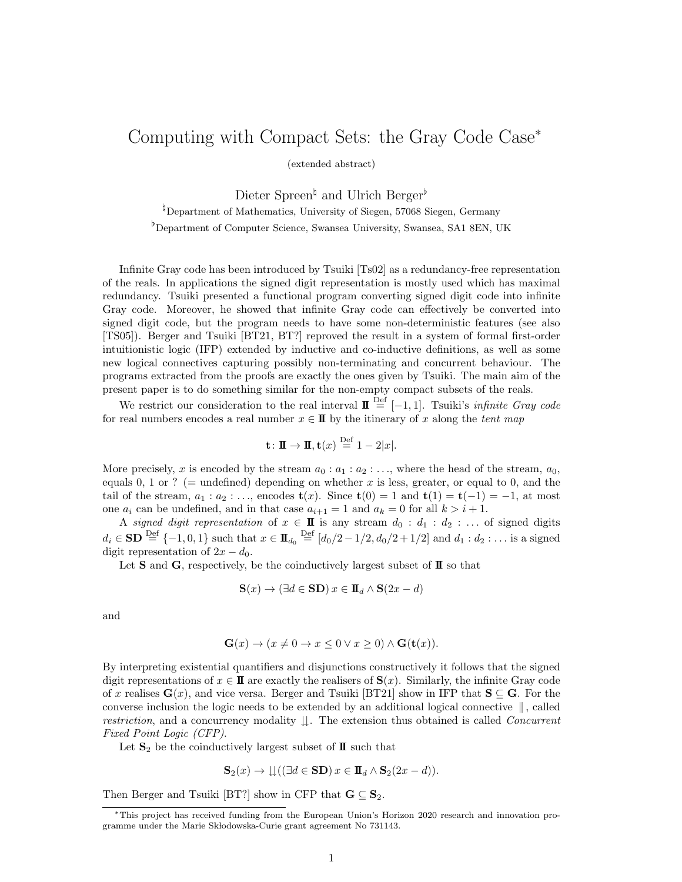## Computing with Compact Sets: the Gray Code Case<sup>∗</sup>

(extended abstract)

Dieter Spreen<sup>↓</sup> and Ulrich Berger

<sup>¤</sup>Department of Mathematics, University of Siegen, 57068 Siegen, Germany

♭Department of Computer Science, Swansea University, Swansea, SA1 8EN, UK

Infinite Gray code has been introduced by Tsuiki [Ts02] as a redundancy-free representation of the reals. In applications the signed digit representation is mostly used which has maximal redundancy. Tsuiki presented a functional program converting signed digit code into infinite Gray code. Moreover, he showed that infinite Gray code can effectively be converted into signed digit code, but the program needs to have some non-deterministic features (see also [TS05]). Berger and Tsuiki [BT21, BT?] reproved the result in a system of formal first-order intuitionistic logic (IFP) extended by inductive and co-inductive definitions, as well as some new logical connectives capturing possibly non-terminating and concurrent behaviour. The programs extracted from the proofs are exactly the ones given by Tsuiki. The main aim of the present paper is to do something similar for the non-empty compact subsets of the reals.

We restrict our consideration to the real interval  $\mathbf{I} \stackrel{\text{Def}}{=} [-1, 1]$ . Tsuiki's *infinite Gray code* for real numbers encodes a real number  $x \in \mathbb{I}$  by the itinerary of x along the tent map

$$
\mathbf{t} \colon \mathbf{I} \to \mathbf{I}, \mathbf{t}(x) \stackrel{\text{Def}}{=} 1 - 2|x|.
$$

More precisely, x is encoded by the stream  $a_0 : a_1 : a_2 : \ldots$ , where the head of the stream,  $a_0$ , equals 0, 1 or ? (= undefined) depending on whether  $x$  is less, greater, or equal to 0, and the tail of the stream,  $a_1 : a_2 : \ldots$ , encodes  $\mathbf{t}(x)$ . Since  $\mathbf{t}(0) = 1$  and  $\mathbf{t}(1) = \mathbf{t}(-1) = -1$ , at most one  $a_i$  can be undefined, and in that case  $a_{i+1} = 1$  and  $a_k = 0$  for all  $k > i + 1$ .

A signed digit representation of  $x \in \mathbf{I}$  is any stream  $d_0 : d_1 : d_2 : \ldots$  of signed digits  $d_i \in SD \stackrel{\text{Def}}{=} \{-1, 0, 1\}$  such that  $x \in \mathbf{I\!I}_{d_0} \stackrel{\text{Def}}{=} [d_0/2 - 1/2, d_0/2 + 1/2]$  and  $d_1 : d_2 : \dots$  is a signed digit representation of  $2x - d_0$ .

Let **S** and **G**, respectively, be the coinductively largest subset of  $\mathbf{I}$  so that

$$
\mathbf{S}(x) \to (\exists d \in \mathbf{SD}) \, x \in \mathbf{I}_d \wedge \mathbf{S}(2x - d)
$$

and

$$
\mathbf{G}(x) \to (x \neq 0 \to x \le 0 \lor x \ge 0) \land \mathbf{G}(\mathbf{t}(x)).
$$

By interpreting existential quantifiers and disjunctions constructively it follows that the signed digit representations of  $x \in \mathbf{I}$  are exactly the realisers of  $\mathbf{S}(x)$ . Similarly, the infinite Gray code of x realises  $\mathbf{G}(x)$ , and vice versa. Berger and Tsuiki [BT21] show in IFP that  $\mathbf{S} \subseteq \mathbf{G}$ . For the converse inclusion the logic needs to be extended by an additional logical connective ∥ , called restriction, and a concurrency modality  $\downarrow$ . The extension thus obtained is called *Concurrent* Fixed Point Logic (CFP).

Let  $S_2$  be the coinductively largest subset of  $\mathbf{I}$  such that

$$
\mathbf{S}_2(x) \to \mathbf{L}((\exists d \in \mathbf{SD}) x \in \mathbf{I} \mathbf{L}_d \wedge \mathbf{S}_2(2x - d)).
$$

Then Berger and Tsuiki [BT?] show in CFP that  $\mathbf{G} \subseteq \mathbf{S}_2$ .

<sup>∗</sup>This project has received funding from the European Union's Horizon 2020 research and innovation programme under the Marie Skłodowska-Curie grant agreement No 731143.